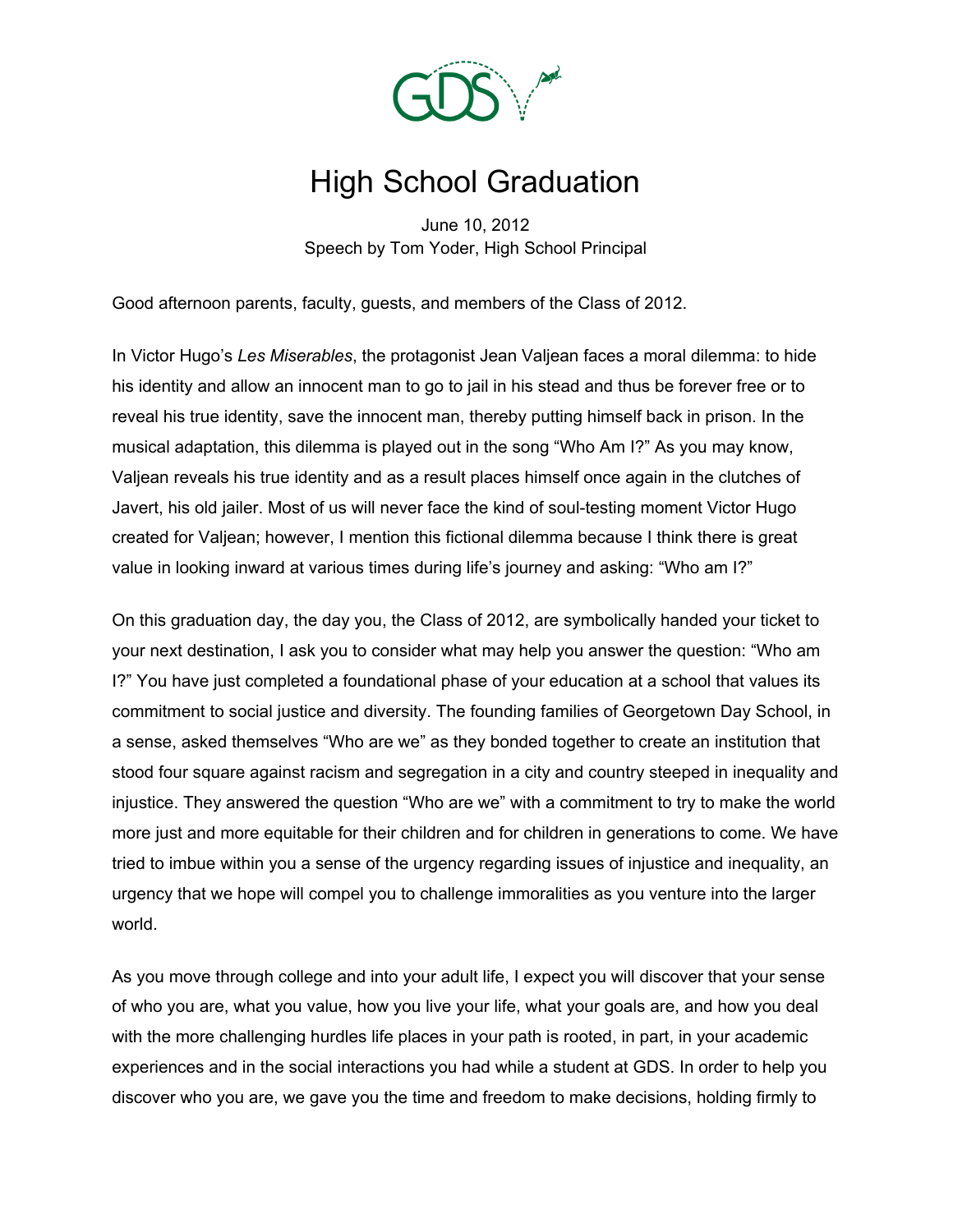

## High School Graduation

June 10, 2012 Speech by Tom Yoder, High School Principal

Good afternoon parents, faculty, guests, and members of the Class of 2012.

In Victor Hugo's *Les Miserables*, the protagonist Jean Valjean faces a moral dilemma: to hide his identity and allow an innocent man to go to jail in his stead and thus be forever free or to reveal his true identity, save the innocent man, thereby putting himself back in prison. In the musical adaptation, this dilemma is played out in the song "Who Am I?" As you may know, Valjean reveals his true identity and as a result places himself once again in the clutches of Javert, his old jailer. Most of us will never face the kind of soul-testing moment Victor Hugo created for Valjean; however, I mention this fictional dilemma because I think there is great value in looking inward at various times during life's journey and asking: "Who am I?"

On this graduation day, the day you, the Class of 2012, are symbolically handed your ticket to your next destination, I ask you to consider what may help you answer the question: "Who am I?" You have just completed a foundational phase of your education at a school that values its commitment to social justice and diversity. The founding families of Georgetown Day School, in a sense, asked themselves "Who are we" as they bonded together to create an institution that stood four square against racism and segregation in a city and country steeped in inequality and injustice. They answered the question "Who are we" with a commitment to try to make the world more just and more equitable for their children and for children in generations to come. We have tried to imbue within you a sense of the urgency regarding issues of injustice and inequality, an urgency that we hope will compel you to challenge immoralities as you venture into the larger world.

As you move through college and into your adult life, I expect you will discover that your sense of who you are, what you value, how you live your life, what your goals are, and how you deal with the more challenging hurdles life places in your path is rooted, in part, in your academic experiences and in the social interactions you had while a student at GDS. In order to help you discover who you are, we gave you the time and freedom to make decisions, holding firmly to